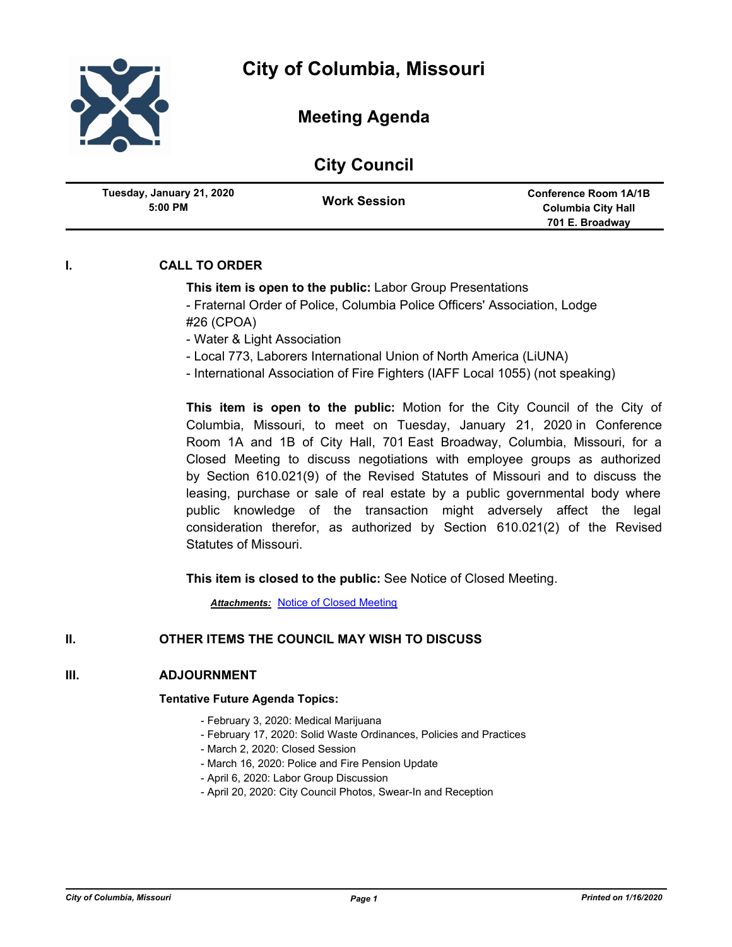

| <b>City Council</b> |  |  |  |
|---------------------|--|--|--|
|---------------------|--|--|--|

| Tuesday, January 21, 2020<br>$5:00$ PM | <b>Work Session</b> | <b>Conference Room 1A/1B</b><br><b>Columbia City Hall</b><br>701 E. Broadway |
|----------------------------------------|---------------------|------------------------------------------------------------------------------|
|                                        |                     |                                                                              |

# **I. CALL TO ORDER**

## **This item is open to the public:** Labor Group Presentations

- Fraternal Order of Police, Columbia Police Officers' Association, Lodge #26 (CPOA)

- Water & Light Association
- Local 773, Laborers International Union of North America (LiUNA)
- International Association of Fire Fighters (IAFF Local 1055) (not speaking)

**This item is open to the public:** Motion for the City Council of the City of Columbia, Missouri, to meet on Tuesday, January 21, 2020 in Conference Room 1A and 1B of City Hall, 701 East Broadway, Columbia, Missouri, for a Closed Meeting to discuss negotiations with employee groups as authorized by Section 610.021(9) of the Revised Statutes of Missouri and to discuss the leasing, purchase or sale of real estate by a public governmental body where public knowledge of the transaction might adversely affect the legal consideration therefor, as authorized by Section 610.021(2) of the Revised Statutes of Missouri.

**This item is closed to the public:** See Notice of Closed Meeting.

*Attachments:* [Notice of Closed Meeting](http://gocolumbiamo.legistar.com/gateway.aspx?M=F&ID=1ca3e898-bba7-427a-9f6d-f79df9d02f49.pdf)

## **II. OTHER ITEMS THE COUNCIL MAY WISH TO DISCUSS**

## **III. ADJOURNMENT**

### **Tentative Future Agenda Topics:**

- February 3, 2020: Medical Marijuana
- February 17, 2020: Solid Waste Ordinances, Policies and Practices
- March 2, 2020: Closed Session
- March 16, 2020: Police and Fire Pension Update
- April 6, 2020: Labor Group Discussion
- April 20, 2020: City Council Photos, Swear-In and Reception